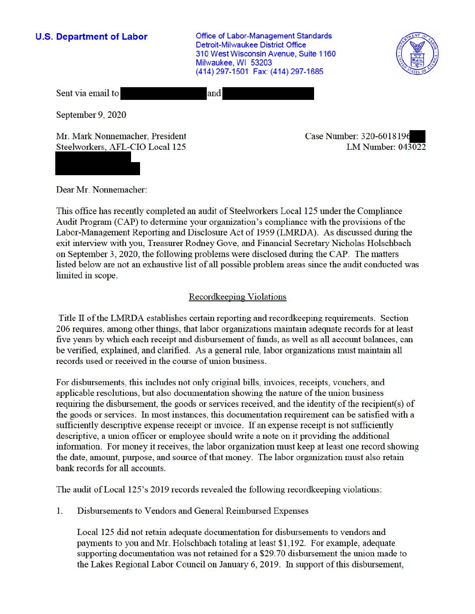**U.S. Department of Labor Conservative Conservative Conservative Conservative Conservative Conservative Conservative Conservative Conservative Conservative Conservative Conservative Conservative Conservative Conservative** Detroit-Milwaukee District Office 310 West Wisconsin Avenue, Suite 1160 Milwaukee, WI 53203 (414) 297-1501 Fax: (414) 297-1685



Sent via email to and

September 9, 2020

Mr. Mark Nonnemacher, President Steelworkers, AFL-CIO Local 125

Case Number: 320-601819. LM Number: 043022

Dear Mr. Nonnemacher:

This office has recently completed an audit of Steelworkers Local 125 under the Compliance Audit Program (CAP) to determine your organization's compliance with the provisions of the Labor-Management Reporting and Disclosure Act of 1959 (LMRDA). As discussed during the exit interview with you, Treasurer Rodney Gove, and Financial Secretary Nicholas Holschbach on September 3, 2020, the following problems were disclosed during the CAP. The matters listed below are not an exhaustive list of all possible problem areas since the audit conducted was limited in scope.

# Recordkeeping Violations

Title II of the LMRDA establishes certain reporting and recordkeeping requirements. Section 206 requires, among other things, that labor organizations maintain adequate records for at least five years by which each receipt and disbursement of funds, as well as all account balances, can be verified, explained, and clarified. As a general rule, labor organizations must maintain all records used or received in the course of union business.

For disbursements, this includes not only original bills, invoices, receipts, vouchers, and applicable resolutions, but also documentation showing the nature of the union business requiring the disbursement, the goods or services received, and the identity of the recipient(s) of the goods or services. In most instances, this documentation requirement can be satisfied with a sufficiently descriptive expense receipt or invoice. If an expense receipt is not sufficiently descriptive, a union officer or employee should write a note on it providing the additional information. For money it receives, the labor organization must keep at least one record showing the date, amount, purpose, and source of that money. The labor organization must also retain bank records for all accounts.

The audit of Local 125's 2019 records revealed the following recordkeeping violations:

1. Disbursements to Vendors and General Reimbursed Expenses

Local 125 did not retain adequate documentation for disbursements to vendors and payments to you and Mr. Holschbach totaling at least \$1,192. For example, adequate supporting documentation was not retained for a \$29.70 disbursement the union made to the Lakes Regional Labor Council on January 6, 2019. In support of this disbursement,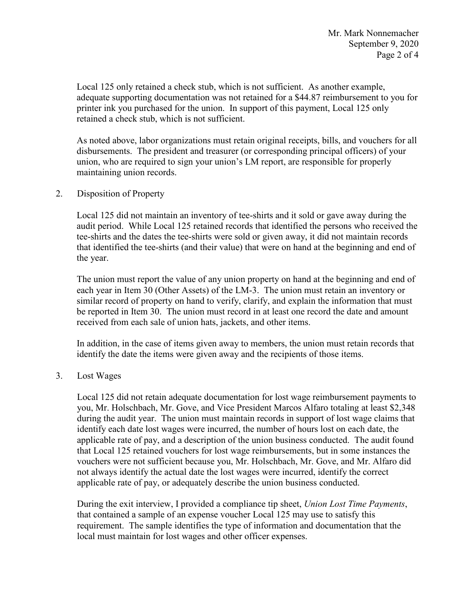printer ink you purchased for the union. In support of this payment, Local 125 only Local 125 only retained a check stub, which is not sufficient. As another example, adequate supporting documentation was not retained for a \$44.87 reimbursement to you for retained a check stub, which is not sufficient.

 disbursements. The president and treasurer (or corresponding principal officers) of your As noted above, labor organizations must retain original receipts, bills, and vouchers for all union, who are required to sign your union's LM report, are responsible for properly maintaining union records.

## 2. Disposition of Property

the year. Local 125 did not maintain an inventory of tee-shirts and it sold or gave away during the audit period. While Local 125 retained records that identified the persons who received the tee-shirts and the dates the tee-shirts were sold or given away, it did not maintain records that identified the tee-shirts (and their value) that were on hand at the beginning and end of

 each year in Item 30 (Other Assets) of the LM-3. The union must retain an inventory or The union must report the value of any union property on hand at the beginning and end of similar record of property on hand to verify, clarify, and explain the information that must be reported in Item 30. The union must record in at least one record the date and amount received from each sale of union hats, jackets, and other items.

 identify the date the items were given away and the recipients of those items. In addition, in the case of items given away to members, the union must retain records that

### 3. Lost Wages

 during the audit year. The union must maintain records in support of lost wage claims that applicable rate of pay, or adequately describe the union business conducted. Local 125 did not retain adequate documentation for lost wage reimbursement payments to you, Mr. Holschbach, Mr. Gove, and Vice President Marcos Alfaro totaling at least \$2,348 identify each date lost wages were incurred, the number of hours lost on each date, the applicable rate of pay, and a description of the union business conducted. The audit found that Local 125 retained vouchers for lost wage reimbursements, but in some instances the vouchers were not sufficient because you, Mr. Holschbach, Mr. Gove, and Mr. Alfaro did not always identify the actual date the lost wages were incurred, identify the correct

 that contained a sample of an expense voucher Local 125 may use to satisfy this During the exit interview, I provided a compliance tip sheet, *Union Lost Time Payments*, requirement. The sample identifies the type of information and documentation that the local must maintain for lost wages and other officer expenses.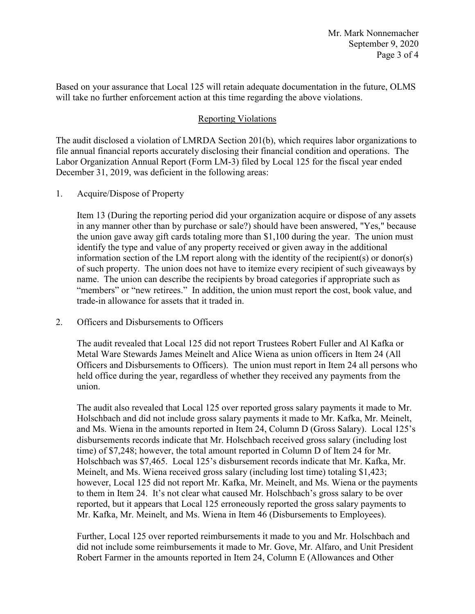Based on your assurance that Local 125 will retain adequate documentation in the future, OLMS will take no further enforcement action at this time regarding the above violations.

## Reporting Violations

 Labor Organization Annual Report (Form LM-3) filed by Local 125 for the fiscal year ended The audit disclosed a violation of LMRDA Section 201(b), which requires labor organizations to file annual financial reports accurately disclosing their financial condition and operations. The December 31, 2019, was deficient in the following areas:

1. Acquire/Dispose of Property

 the union gave away gift cards totaling more than \$1,100 during the year. The union must information section of the LM report along with the identity of the recipient(s) or donor(s) "members" or "new retirees." In addition, the union must report the cost, book value, and Item 13 (During the reporting period did your organization acquire or dispose of any assets in any manner other than by purchase or sale?) should have been answered, "Yes," because identify the type and value of any property received or given away in the additional of such property. The union does not have to itemize every recipient of such giveaways by name. The union can describe the recipients by broad categories if appropriate such as trade-in allowance for assets that it traded in.

2. Officers and Disbursements to Officers

 held office during the year, regardless of whether they received any payments from the The audit revealed that Local 125 did not report Trustees Robert Fuller and Al Kafka or Metal Ware Stewards James Meinelt and Alice Wiena as union officers in Item 24 (All Officers and Disbursements to Officers). The union must report in Item 24 all persons who union.

 time) of \$7,248; however, the total amount reported in Column D of Item 24 for Mr. Meinelt, and Ms. Wiena received gross salary (including lost time) totaling \$1,423; to them in Item 24. It's not clear what caused Mr. Holschbach's gross salary to be over reported, but it appears that Local 125 erroneously reported the gross salary payments to Mr. Kafka, Mr. Meinelt, and Ms. Wiena in Item 46 (Disbursements to Employees). The audit also revealed that Local 125 over reported gross salary payments it made to Mr. Holschbach and did not include gross salary payments it made to Mr. Kafka, Mr. Meinelt, and Ms. Wiena in the amounts reported in Item 24, Column D (Gross Salary). Local 125's disbursements records indicate that Mr. Holschbach received gross salary (including lost Holschbach was \$7,465. Local 125's disbursement records indicate that Mr. Kafka, Mr. however, Local 125 did not report Mr. Kafka, Mr. Meinelt, and Ms. Wiena or the payments

 did not include some reimbursements it made to Mr. Gove, Mr. Alfaro, and Unit President Robert Farmer in the amounts reported in Item 24, Column E (Allowances and Other Further, Local 125 over reported reimbursements it made to you and Mr. Holschbach and